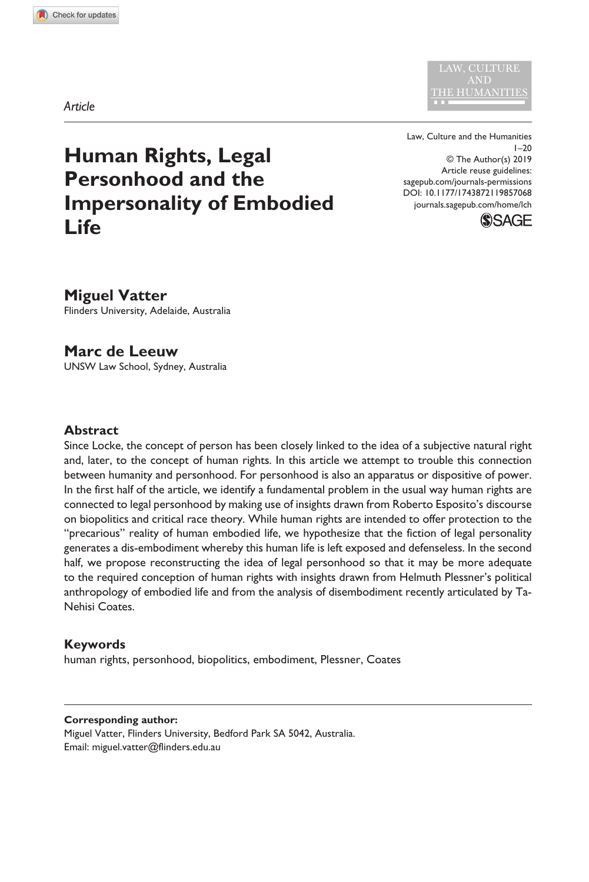**8570[68](http://crossmark.crossref.org/dialog/?doi=10.1177%2F1743872119857068&domain=pdf&date_stamp=2019-06-16)**LCH0010.1177/1743872119857068Law, Culture and the Humanities**Miguel Vatter and Marc de Leeuw**

AND THE HUMANITIES

*Article*

# **Human Rights, Legal Personhood and the Impersonality of Embodied Life**

DOI: 10.1177/1743872119857068 Law, Culture and the Humanities  $1 - 20$ © The Author(s) 2019 Article reuse guidelines: [sagepub.com/journals-permissions](https://uk.sagepub.com/en-gb/journals-permissions) [journals.sagepub.com/home/lch](https://journals.sagepub.com/home/lch)



### **Miguel Vatter**

Flinders University, Adelaide, Australia

### **Marc de Leeuw**

UNSW Law School, Sydney, Australia

#### **Abstract**

Since Locke, the concept of person has been closely linked to the idea of a subjective natural right and, later, to the concept of human rights. In this article we attempt to trouble this connection between humanity and personhood. For personhood is also an apparatus or dispositive of power. In the first half of the article, we identify a fundamental problem in the usual way human rights are connected to legal personhood by making use of insights drawn from Roberto Esposito's discourse on biopolitics and critical race theory. While human rights are intended to offer protection to the "precarious" reality of human embodied life, we hypothesize that the fiction of legal personality generates a dis-embodiment whereby this human life is left exposed and defenseless. In the second half, we propose reconstructing the idea of legal personhood so that it may be more adequate to the required conception of human rights with insights drawn from Helmuth Plessner's political anthropology of embodied life and from the analysis of disembodiment recently articulated by Ta-Nehisi Coates.

### **Keywords**

human rights, personhood, biopolitics, embodiment, Plessner, Coates

#### **Corresponding author:**

Miguel Vatter, Flinders University, Bedford Park SA 5042, Australia. Email: [miguel.vatter@flinders.edu.au](mailto:miguel.vatter@flinders.edu.au)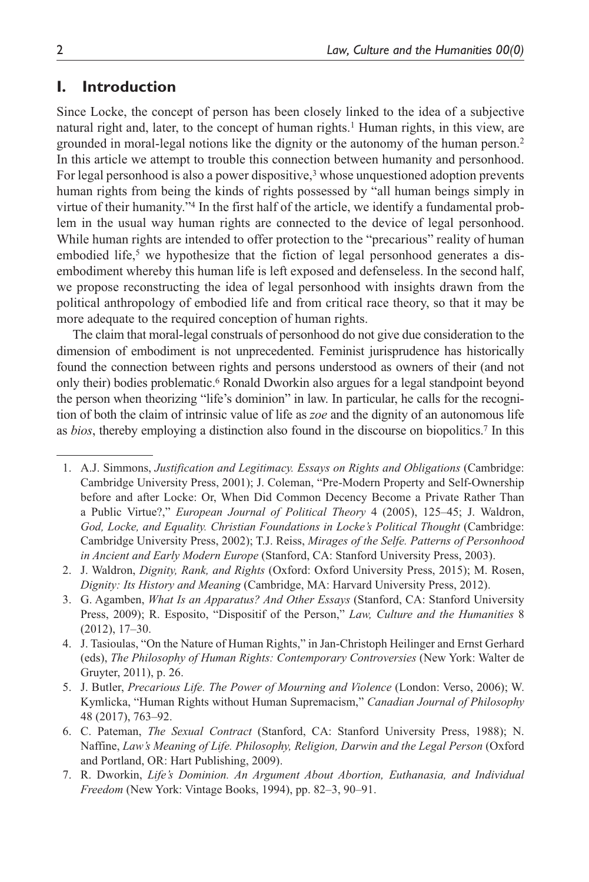### **I. Introduction**

Since Locke, the concept of person has been closely linked to the idea of a subjective natural right and, later, to the concept of human rights.<sup>1</sup> Human rights, in this view, are grounded in moral-legal notions like the dignity or the autonomy of the human person.2 In this article we attempt to trouble this connection between humanity and personhood. For legal personhood is also a power dispositive, $3$  whose unquestioned adoption prevents human rights from being the kinds of rights possessed by "all human beings simply in virtue of their humanity."4 In the first half of the article, we identify a fundamental problem in the usual way human rights are connected to the device of legal personhood. While human rights are intended to offer protection to the "precarious" reality of human embodied life, $5$  we hypothesize that the fiction of legal personhood generates a disembodiment whereby this human life is left exposed and defenseless. In the second half, we propose reconstructing the idea of legal personhood with insights drawn from the political anthropology of embodied life and from critical race theory, so that it may be more adequate to the required conception of human rights.

The claim that moral-legal construals of personhood do not give due consideration to the dimension of embodiment is not unprecedented. Feminist jurisprudence has historically found the connection between rights and persons understood as owners of their (and not only their) bodies problematic.6 Ronald Dworkin also argues for a legal standpoint beyond the person when theorizing "life's dominion" in law. In particular, he calls for the recognition of both the claim of intrinsic value of life as *zoe* and the dignity of an autonomous life as *bios*, thereby employing a distinction also found in the discourse on biopolitics.7 In this

<sup>1.</sup> A.J. Simmons, *Justification and Legitimacy. Essays on Rights and Obligations* (Cambridge: Cambridge University Press, 2001); J. Coleman, "Pre-Modern Property and Self-Ownership before and after Locke: Or, When Did Common Decency Become a Private Rather Than a Public Virtue?," *European Journal of Political Theory* 4 (2005), 125–45; J. Waldron, *God, Locke, and Equality. Christian Foundations in Locke's Political Thought* (Cambridge: Cambridge University Press, 2002); T.J. Reiss, *Mirages of the Selfe. Patterns of Personhood in Ancient and Early Modern Europe* (Stanford, CA: Stanford University Press, 2003).

<sup>2.</sup> J. Waldron, *Dignity, Rank, and Rights* (Oxford: Oxford University Press, 2015); M. Rosen, *Dignity: Its History and Meaning* (Cambridge, MA: Harvard University Press, 2012).

<sup>3.</sup> G. Agamben, *What Is an Apparatus? And Other Essays* (Stanford, CA: Stanford University Press, 2009); R. Esposito, "Dispositif of the Person," *Law, Culture and the Humanities* 8 (2012), 17–30.

<sup>4.</sup> J. Tasioulas, "On the Nature of Human Rights," in Jan-Christoph Heilinger and Ernst Gerhard (eds), *The Philosophy of Human Rights: Contemporary Controversies* (New York: Walter de Gruyter, 2011), p. 26.

<sup>5.</sup> J. Butler, *Precarious Life. The Power of Mourning and Violence* (London: Verso, 2006); W. Kymlicka, "Human Rights without Human Supremacism," *Canadian Journal of Philosophy* 48 (2017), 763–92.

<sup>6.</sup> C. Pateman, *The Sexual Contract* (Stanford, CA: Stanford University Press, 1988); N. Naffine, *Law's Meaning of Life. Philosophy, Religion, Darwin and the Legal Person* (Oxford and Portland, OR: Hart Publishing, 2009).

<sup>7.</sup> R. Dworkin, *Life's Dominion. An Argument About Abortion, Euthanasia, and Individual Freedom* (New York: Vintage Books, 1994), pp. 82–3, 90–91.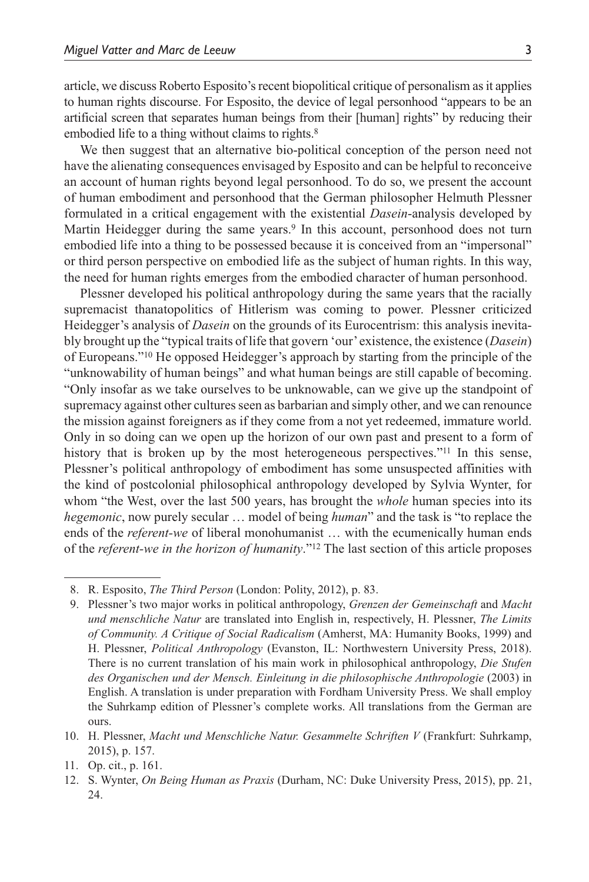article, we discuss Roberto Esposito's recent biopolitical critique of personalism as it applies to human rights discourse. For Esposito, the device of legal personhood "appears to be an artificial screen that separates human beings from their [human] rights" by reducing their embodied life to a thing without claims to rights.<sup>8</sup>

We then suggest that an alternative bio-political conception of the person need not have the alienating consequences envisaged by Esposito and can be helpful to reconceive an account of human rights beyond legal personhood. To do so, we present the account of human embodiment and personhood that the German philosopher Helmuth Plessner formulated in a critical engagement with the existential *Dasein*-analysis developed by Martin Heidegger during the same years.<sup>9</sup> In this account, personhood does not turn embodied life into a thing to be possessed because it is conceived from an "impersonal" or third person perspective on embodied life as the subject of human rights. In this way, the need for human rights emerges from the embodied character of human personhood.

Plessner developed his political anthropology during the same years that the racially supremacist thanatopolitics of Hitlerism was coming to power. Plessner criticized Heidegger's analysis of *Dasein* on the grounds of its Eurocentrism: this analysis inevitably brought up the "typical traits of life that govern 'our' existence, the existence (*Dasein*) of Europeans."10 He opposed Heidegger's approach by starting from the principle of the "unknowability of human beings" and what human beings are still capable of becoming. "Only insofar as we take ourselves to be unknowable, can we give up the standpoint of supremacy against other cultures seen as barbarian and simply other, and we can renounce the mission against foreigners as if they come from a not yet redeemed, immature world. Only in so doing can we open up the horizon of our own past and present to a form of history that is broken up by the most heterogeneous perspectives."<sup>11</sup> In this sense, Plessner's political anthropology of embodiment has some unsuspected affinities with the kind of postcolonial philosophical anthropology developed by Sylvia Wynter, for whom "the West, over the last 500 years, has brought the *whole* human species into its *hegemonic*, now purely secular … model of being *human*" and the task is "to replace the ends of the *referent-we* of liberal monohumanist … with the ecumenically human ends of the *referent-we in the horizon of humanity*."12 The last section of this article proposes

<sup>8.</sup> R. Esposito, *The Third Person* (London: Polity, 2012), p. 83.

<sup>9.</sup> Plessner's two major works in political anthropology, *Grenzen der Gemeinschaft* and *Macht und menschliche Natur* are translated into English in, respectively, H. Plessner, *The Limits of Community. A Critique of Social Radicalism* (Amherst, MA: Humanity Books, 1999) and H. Plessner, *Political Anthropology* (Evanston, IL: Northwestern University Press, 2018). There is no current translation of his main work in philosophical anthropology, *Die Stufen des Organischen und der Mensch. Einleitung in die philosophische Anthropologie* (2003) in English. A translation is under preparation with Fordham University Press. We shall employ the Suhrkamp edition of Plessner's complete works. All translations from the German are ours.

<sup>10.</sup> H. Plessner, *Macht und Menschliche Natur. Gesammelte Schriften V* (Frankfurt: Suhrkamp, 2015), p. 157.

<sup>11.</sup> Op. cit., p. 161.

<sup>12.</sup> S. Wynter, *On Being Human as Praxis* (Durham, NC: Duke University Press, 2015), pp. 21, 24.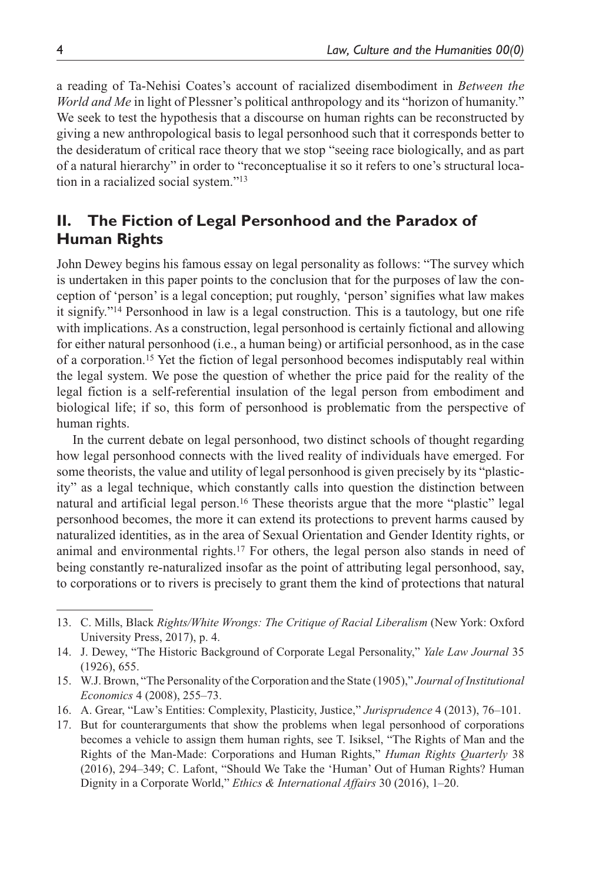a reading of Ta-Nehisi Coates's account of racialized disembodiment in *Between the World and Me* in light of Plessner's political anthropology and its "horizon of humanity." We seek to test the hypothesis that a discourse on human rights can be reconstructed by giving a new anthropological basis to legal personhood such that it corresponds better to the desideratum of critical race theory that we stop "seeing race biologically, and as part of a natural hierarchy" in order to "reconceptualise it so it refers to one's structural location in a racialized social system."13

# **II. The Fiction of Legal Personhood and the Paradox of Human Rights**

John Dewey begins his famous essay on legal personality as follows: "The survey which is undertaken in this paper points to the conclusion that for the purposes of law the conception of 'person' is a legal conception; put roughly, 'person' signifies what law makes it signify."14 Personhood in law is a legal construction. This is a tautology, but one rife with implications. As a construction, legal personhood is certainly fictional and allowing for either natural personhood (i.e., a human being) or artificial personhood, as in the case of a corporation.15 Yet the fiction of legal personhood becomes indisputably real within the legal system. We pose the question of whether the price paid for the reality of the legal fiction is a self-referential insulation of the legal person from embodiment and biological life; if so, this form of personhood is problematic from the perspective of human rights.

In the current debate on legal personhood, two distinct schools of thought regarding how legal personhood connects with the lived reality of individuals have emerged. For some theorists, the value and utility of legal personhood is given precisely by its "plasticity" as a legal technique, which constantly calls into question the distinction between natural and artificial legal person.16 These theorists argue that the more "plastic" legal personhood becomes, the more it can extend its protections to prevent harms caused by naturalized identities, as in the area of Sexual Orientation and Gender Identity rights, or animal and environmental rights.<sup>17</sup> For others, the legal person also stands in need of being constantly re-naturalized insofar as the point of attributing legal personhood, say, to corporations or to rivers is precisely to grant them the kind of protections that natural

<sup>13.</sup> C. Mills, Black *Rights/White Wrongs: The Critique of Racial Liberalism* (New York: Oxford University Press, 2017), p. 4.

<sup>14.</sup> J. Dewey, "The Historic Background of Corporate Legal Personality," *Yale Law Journal* 35 (1926), 655.

<sup>15.</sup> W.J. Brown, "The Personality of the Corporation and the State (1905)," *Journal of Institutional Economics* 4 (2008), 255–73.

<sup>16.</sup> A. Grear, "Law's Entities: Complexity, Plasticity, Justice," *Jurisprudence* 4 (2013), 76–101.

<sup>17.</sup> But for counterarguments that show the problems when legal personhood of corporations becomes a vehicle to assign them human rights, see T. Isiksel, "The Rights of Man and the Rights of the Man-Made: Corporations and Human Rights," *Human Rights Quarterly* 38 (2016), 294–349; C. Lafont, "Should We Take the 'Human' Out of Human Rights? Human Dignity in a Corporate World," *Ethics & International Affairs* 30 (2016), 1–20.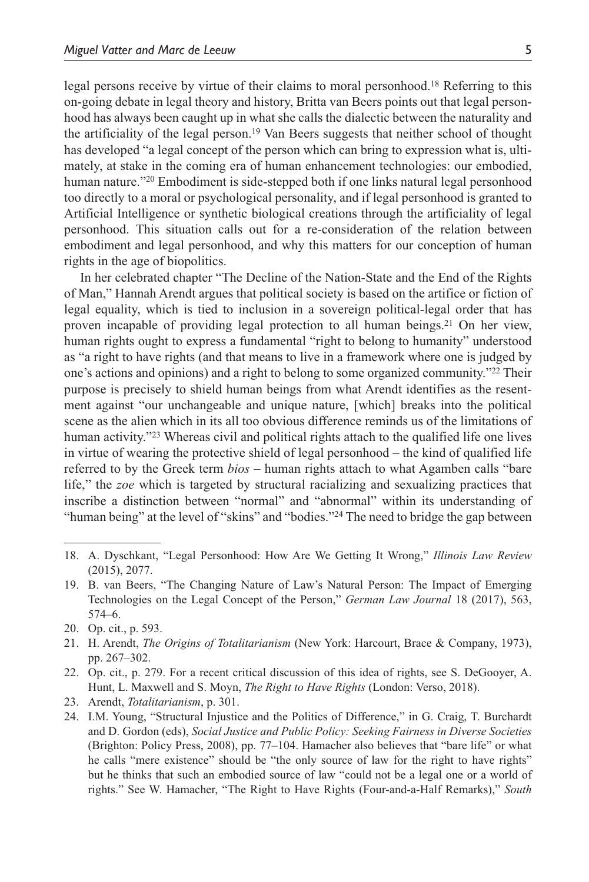legal persons receive by virtue of their claims to moral personhood.18 Referring to this on-going debate in legal theory and history, Britta van Beers points out that legal personhood has always been caught up in what she calls the dialectic between the naturality and the artificiality of the legal person.19 Van Beers suggests that neither school of thought has developed "a legal concept of the person which can bring to expression what is, ultimately, at stake in the coming era of human enhancement technologies: our embodied, human nature."20 Embodiment is side-stepped both if one links natural legal personhood too directly to a moral or psychological personality, and if legal personhood is granted to Artificial Intelligence or synthetic biological creations through the artificiality of legal personhood. This situation calls out for a re-consideration of the relation between embodiment and legal personhood, and why this matters for our conception of human rights in the age of biopolitics.

In her celebrated chapter "The Decline of the Nation-State and the End of the Rights of Man," Hannah Arendt argues that political society is based on the artifice or fiction of legal equality, which is tied to inclusion in a sovereign political-legal order that has proven incapable of providing legal protection to all human beings.21 On her view, human rights ought to express a fundamental "right to belong to humanity" understood as "a right to have rights (and that means to live in a framework where one is judged by one's actions and opinions) and a right to belong to some organized community."22 Their purpose is precisely to shield human beings from what Arendt identifies as the resentment against "our unchangeable and unique nature, [which] breaks into the political scene as the alien which in its all too obvious difference reminds us of the limitations of human activity."<sup>23</sup> Whereas civil and political rights attach to the qualified life one lives in virtue of wearing the protective shield of legal personhood – the kind of qualified life referred to by the Greek term *bios* – human rights attach to what Agamben calls "bare life," the *zoe* which is targeted by structural racializing and sexualizing practices that inscribe a distinction between "normal" and "abnormal" within its understanding of "human being" at the level of "skins" and "bodies."24 The need to bridge the gap between

19. B. van Beers, "The Changing Nature of Law's Natural Person: The Impact of Emerging Technologies on the Legal Concept of the Person," *German Law Journal* 18 (2017), 563, 574–6.

- 22. Op. cit., p. 279. For a recent critical discussion of this idea of rights, see S. DeGooyer, A. Hunt, L. Maxwell and S. Moyn, *The Right to Have Rights* (London: Verso, 2018).
- 23. Arendt, *Totalitarianism*, p. 301.

<sup>18.</sup> A. Dyschkant, "Legal Personhood: How Are We Getting It Wrong," *Illinois Law Review* (2015), 2077.

<sup>20.</sup> Op. cit., p. 593.

<sup>21.</sup> H. Arendt, *The Origins of Totalitarianism* (New York: Harcourt, Brace & Company, 1973), pp. 267–302.

<sup>24.</sup> I.M. Young, "Structural Injustice and the Politics of Difference," in G. Craig, T. Burchardt and D. Gordon (eds), *Social Justice and Public Policy: Seeking Fairness in Diverse Societies* (Brighton: Policy Press, 2008), pp. 77–104. Hamacher also believes that "bare life" or what he calls "mere existence" should be "the only source of law for the right to have rights" but he thinks that such an embodied source of law "could not be a legal one or a world of rights." See W. Hamacher, "The Right to Have Rights (Four-and-a-Half Remarks)," *South*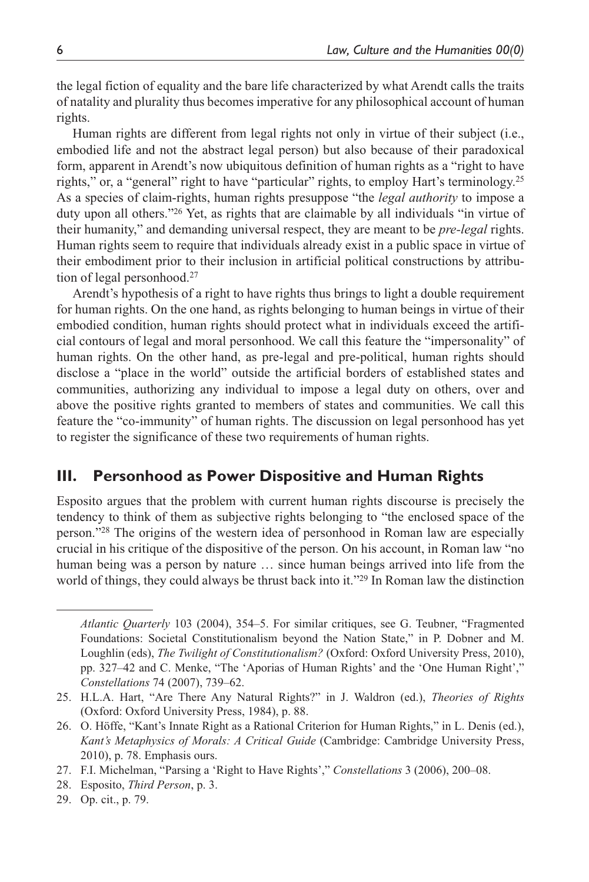the legal fiction of equality and the bare life characterized by what Arendt calls the traits of natality and plurality thus becomes imperative for any philosophical account of human rights.

Human rights are different from legal rights not only in virtue of their subject (i.e., embodied life and not the abstract legal person) but also because of their paradoxical form, apparent in Arendt's now ubiquitous definition of human rights as a "right to have rights," or, a "general" right to have "particular" rights, to employ Hart's terminology.25 As a species of claim-rights, human rights presuppose "the *legal authority* to impose a duty upon all others."<sup>26</sup> Yet, as rights that are claimable by all individuals "in virtue of their humanity," and demanding universal respect, they are meant to be *pre-legal* rights. Human rights seem to require that individuals already exist in a public space in virtue of their embodiment prior to their inclusion in artificial political constructions by attribution of legal personhood.27

Arendt's hypothesis of a right to have rights thus brings to light a double requirement for human rights. On the one hand, as rights belonging to human beings in virtue of their embodied condition, human rights should protect what in individuals exceed the artificial contours of legal and moral personhood. We call this feature the "impersonality" of human rights. On the other hand, as pre-legal and pre-political, human rights should disclose a "place in the world" outside the artificial borders of established states and communities, authorizing any individual to impose a legal duty on others, over and above the positive rights granted to members of states and communities. We call this feature the "co-immunity" of human rights. The discussion on legal personhood has yet to register the significance of these two requirements of human rights.

# **III. Personhood as Power Dispositive and Human Rights**

Esposito argues that the problem with current human rights discourse is precisely the tendency to think of them as subjective rights belonging to "the enclosed space of the person."28 The origins of the western idea of personhood in Roman law are especially crucial in his critique of the dispositive of the person. On his account, in Roman law "no human being was a person by nature … since human beings arrived into life from the world of things, they could always be thrust back into it."<sup>29</sup> In Roman law the distinction

*Atlantic Quarterly* 103 (2004), 354–5. For similar critiques, see G. Teubner, "Fragmented Foundations: Societal Constitutionalism beyond the Nation State," in P. Dobner and M. Loughlin (eds), *The Twilight of Constitutionalism?* (Oxford: Oxford University Press, 2010), pp. 327–42 and C. Menke, "The 'Aporias of Human Rights' and the 'One Human Right'," *Constellations* 74 (2007), 739–62.

<sup>25.</sup> H.L.A. Hart, "Are There Any Natural Rights?" in J. Waldron (ed.), *Theories of Rights* (Oxford: Oxford University Press, 1984), p. 88.

<sup>26.</sup> O. Höffe, "Kant's Innate Right as a Rational Criterion for Human Rights," in L. Denis (ed.), *Kant's Metaphysics of Morals: A Critical Guide* (Cambridge: Cambridge University Press, 2010), p. 78. Emphasis ours.

<sup>27.</sup> F.I. Michelman, "Parsing a 'Right to Have Rights'," *Constellations* 3 (2006), 200–08.

<sup>28.</sup> Esposito, *Third Person*, p. 3.

<sup>29.</sup> Op. cit., p. 79.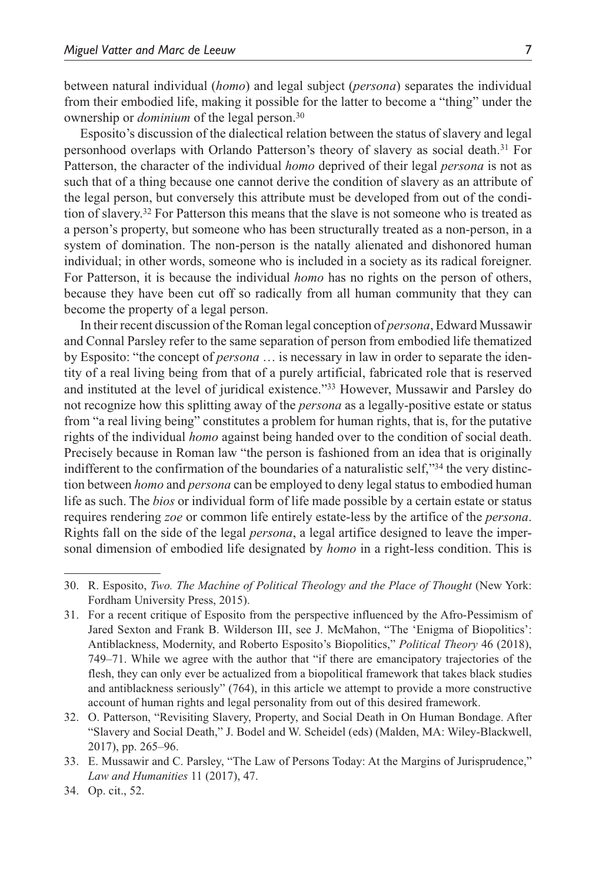between natural individual (*homo*) and legal subject (*persona*) separates the individual from their embodied life, making it possible for the latter to become a "thing" under the ownership or *dominium* of the legal person.30

Esposito's discussion of the dialectical relation between the status of slavery and legal personhood overlaps with Orlando Patterson's theory of slavery as social death.31 For Patterson, the character of the individual *homo* deprived of their legal *persona* is not as such that of a thing because one cannot derive the condition of slavery as an attribute of the legal person, but conversely this attribute must be developed from out of the condition of slavery.32 For Patterson this means that the slave is not someone who is treated as a person's property, but someone who has been structurally treated as a non-person, in a system of domination. The non-person is the natally alienated and dishonored human individual; in other words, someone who is included in a society as its radical foreigner. For Patterson, it is because the individual *homo* has no rights on the person of others, because they have been cut off so radically from all human community that they can become the property of a legal person.

In their recent discussion of the Roman legal conception of *persona*, Edward Mussawir and Connal Parsley refer to the same separation of person from embodied life thematized by Esposito: "the concept of *persona* … is necessary in law in order to separate the identity of a real living being from that of a purely artificial, fabricated role that is reserved and instituted at the level of juridical existence."33 However, Mussawir and Parsley do not recognize how this splitting away of the *persona* as a legally-positive estate or status from "a real living being" constitutes a problem for human rights, that is, for the putative rights of the individual *homo* against being handed over to the condition of social death. Precisely because in Roman law "the person is fashioned from an idea that is originally indifferent to the confirmation of the boundaries of a naturalistic self,"<sup>34</sup> the very distinction between *homo* and *persona* can be employed to deny legal status to embodied human life as such. The *bios* or individual form of life made possible by a certain estate or status requires rendering *zoe* or common life entirely estate-less by the artifice of the *persona*. Rights fall on the side of the legal *persona*, a legal artifice designed to leave the impersonal dimension of embodied life designated by *homo* in a right-less condition. This is

<sup>30.</sup> R. Esposito, *Two. The Machine of Political Theology and the Place of Thought* (New York: Fordham University Press, 2015).

<sup>31.</sup> For a recent critique of Esposito from the perspective influenced by the Afro-Pessimism of Jared Sexton and Frank B. Wilderson III, see J. McMahon, "The 'Enigma of Biopolitics': Antiblackness, Modernity, and Roberto Esposito's Biopolitics," *Political Theory* 46 (2018), 749–71. While we agree with the author that "if there are emancipatory trajectories of the flesh, they can only ever be actualized from a biopolitical framework that takes black studies and antiblackness seriously" (764), in this article we attempt to provide a more constructive account of human rights and legal personality from out of this desired framework.

<sup>32.</sup> O. Patterson, "Revisiting Slavery, Property, and Social Death in On Human Bondage. After "Slavery and Social Death," J. Bodel and W. Scheidel (eds) (Malden, MA: Wiley-Blackwell, 2017), pp. 265–96.

<sup>33.</sup> E. Mussawir and C. Parsley, "The Law of Persons Today: At the Margins of Jurisprudence," *Law and Humanities* 11 (2017), 47.

<sup>34.</sup> Op. cit., 52.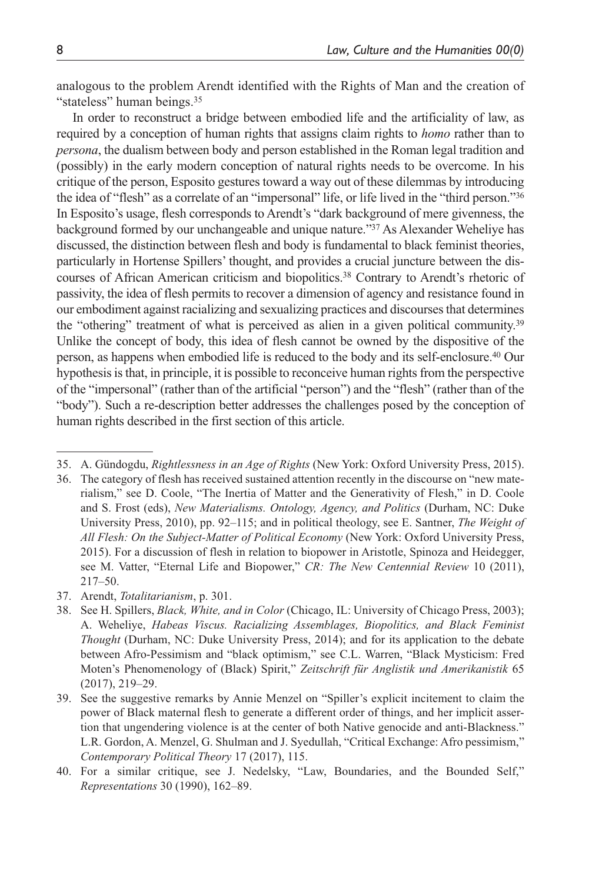analogous to the problem Arendt identified with the Rights of Man and the creation of "stateless" human beings.<sup>35</sup>

In order to reconstruct a bridge between embodied life and the artificiality of law, as required by a conception of human rights that assigns claim rights to *homo* rather than to *persona*, the dualism between body and person established in the Roman legal tradition and (possibly) in the early modern conception of natural rights needs to be overcome. In his critique of the person, Esposito gestures toward a way out of these dilemmas by introducing the idea of "flesh" as a correlate of an "impersonal" life, or life lived in the "third person."36 In Esposito's usage, flesh corresponds to Arendt's "dark background of mere givenness, the background formed by our unchangeable and unique nature."37 As Alexander Weheliye has discussed, the distinction between flesh and body is fundamental to black feminist theories, particularly in Hortense Spillers' thought, and provides a crucial juncture between the discourses of African American criticism and biopolitics.38 Contrary to Arendt's rhetoric of passivity, the idea of flesh permits to recover a dimension of agency and resistance found in our embodiment against racializing and sexualizing practices and discourses that determines the "othering" treatment of what is perceived as alien in a given political community.39 Unlike the concept of body, this idea of flesh cannot be owned by the dispositive of the person, as happens when embodied life is reduced to the body and its self-enclosure.40 Our hypothesis is that, in principle, it is possible to reconceive human rights from the perspective of the "impersonal" (rather than of the artificial "person") and the "flesh" (rather than of the "body"). Such a re-description better addresses the challenges posed by the conception of human rights described in the first section of this article.

<sup>35.</sup> A. Gündogdu, *Rightlessness in an Age of Rights* (New York: Oxford University Press, 2015).

<sup>36.</sup> The category of flesh has received sustained attention recently in the discourse on "new materialism," see D. Coole, "The Inertia of Matter and the Generativity of Flesh," in D. Coole and S. Frost (eds), *New Materialisms. Ontology, Agency, and Politics* (Durham, NC: Duke University Press, 2010), pp. 92–115; and in political theology, see E. Santner, *The Weight of All Flesh: On the Subject-Matter of Political Economy* (New York: Oxford University Press, 2015). For a discussion of flesh in relation to biopower in Aristotle, Spinoza and Heidegger, see M. Vatter, "Eternal Life and Biopower," *CR: The New Centennial Review* 10 (2011), 217–50.

<sup>37.</sup> Arendt, *Totalitarianism*, p. 301.

<sup>38.</sup> See H. Spillers, *Black, White, and in Color* (Chicago, IL: University of Chicago Press, 2003); A. Weheliye, *Habeas Viscus. Racializing Assemblages, Biopolitics, and Black Feminist Thought* (Durham, NC: Duke University Press, 2014); and for its application to the debate between Afro-Pessimism and "black optimism," see C.L. Warren, "Black Mysticism: Fred Moten's Phenomenology of (Black) Spirit," *Zeitschrift für Anglistik und Amerikanistik* 65 (2017), 219–29.

<sup>39.</sup> See the suggestive remarks by Annie Menzel on "Spiller's explicit incitement to claim the power of Black maternal flesh to generate a different order of things, and her implicit assertion that ungendering violence is at the center of both Native genocide and anti-Blackness." L.R. Gordon, A. Menzel, G. Shulman and J. Syedullah, "Critical Exchange: Afro pessimism," *Contemporary Political Theory* 17 (2017), 115.

<sup>40.</sup> For a similar critique, see J. Nedelsky, "Law, Boundaries, and the Bounded Self," *Representations* 30 (1990), 162–89.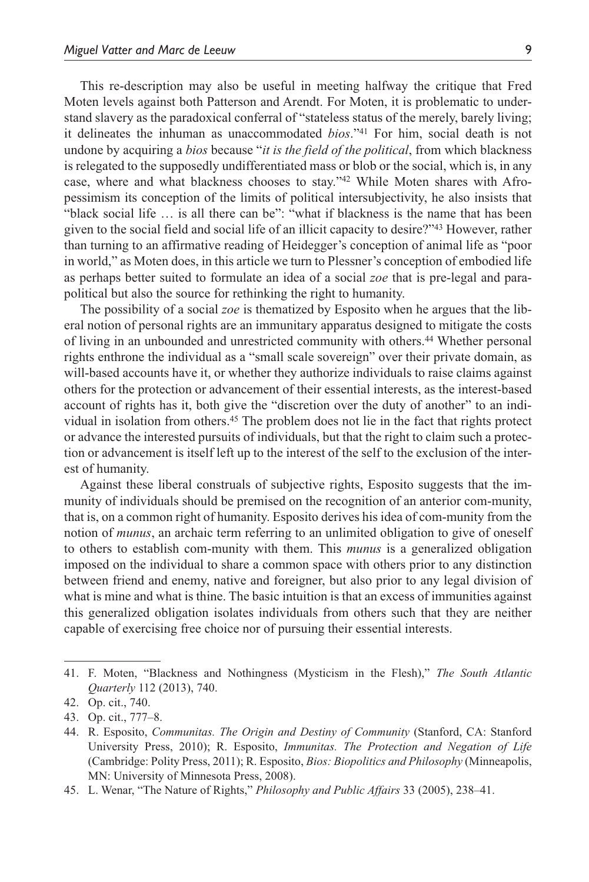This re-description may also be useful in meeting halfway the critique that Fred Moten levels against both Patterson and Arendt. For Moten, it is problematic to understand slavery as the paradoxical conferral of "stateless status of the merely, barely living; it delineates the inhuman as unaccommodated *bios*."41 For him, social death is not undone by acquiring a *bios* because "*it is the field of the political*, from which blackness is relegated to the supposedly undifferentiated mass or blob or the social, which is, in any case, where and what blackness chooses to stay."42 While Moten shares with Afropessimism its conception of the limits of political intersubjectivity, he also insists that "black social life ... is all there can be": "what if blackness is the name that has been given to the social field and social life of an illicit capacity to desire?"43 However, rather than turning to an affirmative reading of Heidegger's conception of animal life as "poor in world," as Moten does, in this article we turn to Plessner's conception of embodied life as perhaps better suited to formulate an idea of a social *zoe* that is pre-legal and parapolitical but also the source for rethinking the right to humanity.

The possibility of a social *zoe* is thematized by Esposito when he argues that the liberal notion of personal rights are an immunitary apparatus designed to mitigate the costs of living in an unbounded and unrestricted community with others.44 Whether personal rights enthrone the individual as a "small scale sovereign" over their private domain, as will-based accounts have it, or whether they authorize individuals to raise claims against others for the protection or advancement of their essential interests, as the interest-based account of rights has it, both give the "discretion over the duty of another" to an individual in isolation from others.45 The problem does not lie in the fact that rights protect or advance the interested pursuits of individuals, but that the right to claim such a protection or advancement is itself left up to the interest of the self to the exclusion of the interest of humanity.

Against these liberal construals of subjective rights, Esposito suggests that the immunity of individuals should be premised on the recognition of an anterior com-munity, that is, on a common right of humanity. Esposito derives his idea of com-munity from the notion of *munus*, an archaic term referring to an unlimited obligation to give of oneself to others to establish com-munity with them. This *munus* is a generalized obligation imposed on the individual to share a common space with others prior to any distinction between friend and enemy, native and foreigner, but also prior to any legal division of what is mine and what is thine. The basic intuition is that an excess of immunities against this generalized obligation isolates individuals from others such that they are neither capable of exercising free choice nor of pursuing their essential interests.

<sup>41.</sup> F. Moten, "Blackness and Nothingness (Mysticism in the Flesh)," *The South Atlantic Quarterly* 112 (2013), 740.

<sup>42.</sup> Op. cit., 740.

<sup>43.</sup> Op. cit., 777–8.

<sup>44.</sup> R. Esposito, *Communitas. The Origin and Destiny of Community* (Stanford, CA: Stanford University Press, 2010); R. Esposito, *Immunitas. The Protection and Negation of Life* (Cambridge: Polity Press, 2011); R. Esposito, *Bios: Biopolitics and Philosophy* (Minneapolis, MN: University of Minnesota Press, 2008).

<sup>45.</sup> L. Wenar, "The Nature of Rights," *Philosophy and Public Affairs* 33 (2005), 238–41.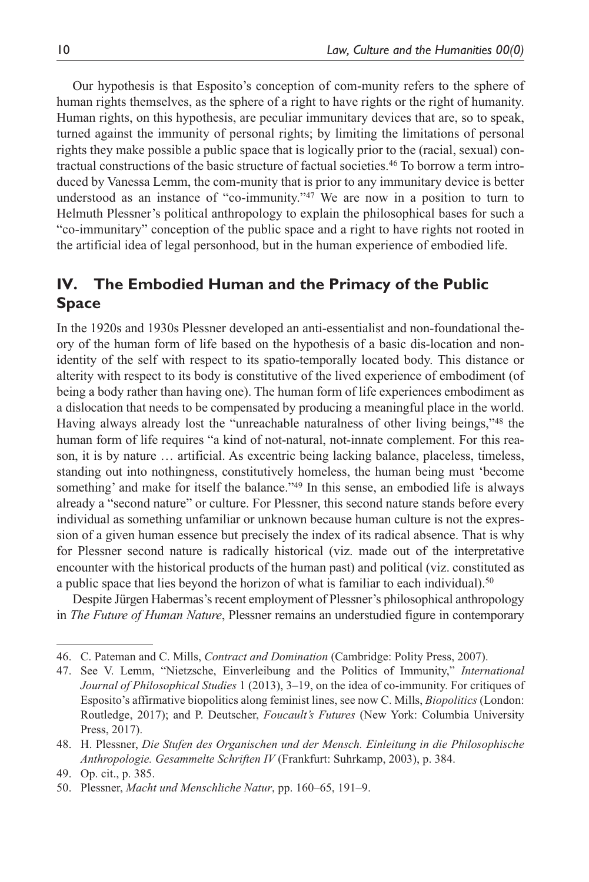Our hypothesis is that Esposito's conception of com-munity refers to the sphere of human rights themselves, as the sphere of a right to have rights or the right of humanity. Human rights, on this hypothesis, are peculiar immunitary devices that are, so to speak, turned against the immunity of personal rights; by limiting the limitations of personal rights they make possible a public space that is logically prior to the (racial, sexual) contractual constructions of the basic structure of factual societies.46 To borrow a term introduced by Vanessa Lemm, the com-munity that is prior to any immunitary device is better understood as an instance of "co-immunity."47 We are now in a position to turn to Helmuth Plessner's political anthropology to explain the philosophical bases for such a "co-immunitary" conception of the public space and a right to have rights not rooted in the artificial idea of legal personhood, but in the human experience of embodied life.

# **IV. The Embodied Human and the Primacy of the Public Space**

In the 1920s and 1930s Plessner developed an anti-essentialist and non-foundational theory of the human form of life based on the hypothesis of a basic dis-location and nonidentity of the self with respect to its spatio-temporally located body. This distance or alterity with respect to its body is constitutive of the lived experience of embodiment (of being a body rather than having one). The human form of life experiences embodiment as a dislocation that needs to be compensated by producing a meaningful place in the world. Having always already lost the "unreachable naturalness of other living beings,"48 the human form of life requires "a kind of not-natural, not-innate complement. For this reason, it is by nature … artificial. As excentric being lacking balance, placeless, timeless, standing out into nothingness, constitutively homeless, the human being must 'become something' and make for itself the balance."<sup>49</sup> In this sense, an embodied life is always already a "second nature" or culture. For Plessner, this second nature stands before every individual as something unfamiliar or unknown because human culture is not the expression of a given human essence but precisely the index of its radical absence. That is why for Plessner second nature is radically historical (viz. made out of the interpretative encounter with the historical products of the human past) and political (viz. constituted as a public space that lies beyond the horizon of what is familiar to each individual).<sup>50</sup>

Despite Jürgen Habermas's recent employment of Plessner's philosophical anthropology in *The Future of Human Nature*, Plessner remains an understudied figure in contemporary

49. Op. cit., p. 385.

<sup>46.</sup> C. Pateman and C. Mills, *Contract and Domination* (Cambridge: Polity Press, 2007).

<sup>47.</sup> See V. Lemm, "Nietzsche, Einverleibung and the Politics of Immunity," *International Journal of Philosophical Studies* 1 (2013), 3–19, on the idea of co-immunity. For critiques of Esposito's affirmative biopolitics along feminist lines, see now C. Mills, *Biopolitics* (London: Routledge, 2017); and P. Deutscher, *Foucault's Futures* (New York: Columbia University Press, 2017).

<sup>48.</sup> H. Plessner, *Die Stufen des Organischen und der Mensch. Einleitung in die Philosophische Anthropologie. Gesammelte Schriften IV* (Frankfurt: Suhrkamp, 2003), p. 384.

<sup>50.</sup> Plessner, *Macht und Menschliche Natur*, pp. 160–65, 191–9.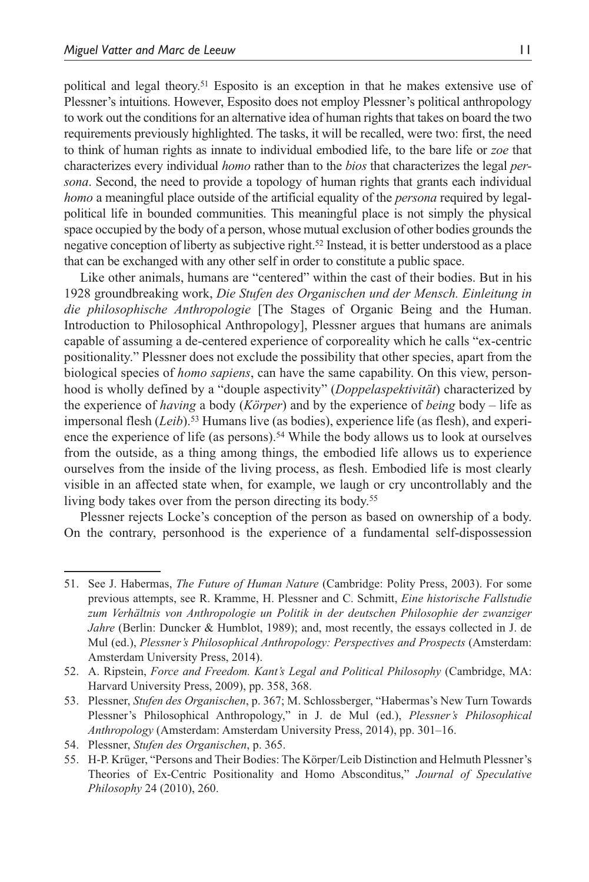political and legal theory.51 Esposito is an exception in that he makes extensive use of Plessner's intuitions. However, Esposito does not employ Plessner's political anthropology to work out the conditions for an alternative idea of human rights that takes on board the two requirements previously highlighted. The tasks, it will be recalled, were two: first, the need to think of human rights as innate to individual embodied life, to the bare life or *zoe* that characterizes every individual *homo* rather than to the *bios* that characterizes the legal *persona*. Second, the need to provide a topology of human rights that grants each individual *homo* a meaningful place outside of the artificial equality of the *persona* required by legalpolitical life in bounded communities. This meaningful place is not simply the physical space occupied by the body of a person, whose mutual exclusion of other bodies grounds the negative conception of liberty as subjective right.52 Instead, it is better understood as a place that can be exchanged with any other self in order to constitute a public space.

Like other animals, humans are "centered" within the cast of their bodies. But in his 1928 groundbreaking work, *Die Stufen des Organischen und der Mensch. Einleitung in die philosophische Anthropologie* [The Stages of Organic Being and the Human. Introduction to Philosophical Anthropology], Plessner argues that humans are animals capable of assuming a de-centered experience of corporeality which he calls "ex-centric positionality." Plessner does not exclude the possibility that other species, apart from the biological species of *homo sapiens*, can have the same capability. On this view, personhood is wholly defined by a "douple aspectivity" (*Doppelaspektivität*) characterized by the experience of *having* a body (*Körper*) and by the experience of *being* body – life as impersonal flesh (*Leib*).53 Humans live (as bodies), experience life (as flesh), and experience the experience of life (as persons).54 While the body allows us to look at ourselves from the outside, as a thing among things, the embodied life allows us to experience ourselves from the inside of the living process, as flesh. Embodied life is most clearly visible in an affected state when, for example, we laugh or cry uncontrollably and the living body takes over from the person directing its body.55

Plessner rejects Locke's conception of the person as based on ownership of a body. On the contrary, personhood is the experience of a fundamental self-dispossession

<sup>51.</sup> See J. Habermas, *The Future of Human Nature* (Cambridge: Polity Press, 2003). For some previous attempts, see R. Kramme, H. Plessner and C. Schmitt, *Eine historische Fallstudie zum Verhältnis von Anthropologie un Politik in der deutschen Philosophie der zwanziger Jahre* (Berlin: Duncker & Humblot, 1989); and, most recently, the essays collected in J. de Mul (ed.), *Plessner's Philosophical Anthropology: Perspectives and Prospects* (Amsterdam: Amsterdam University Press, 2014).

<sup>52.</sup> A. Ripstein, *Force and Freedom. Kant's Legal and Political Philosophy* (Cambridge, MA: Harvard University Press, 2009), pp. 358, 368.

<sup>53.</sup> Plessner, *Stufen des Organischen*, p. 367; M. Schlossberger, "Habermas's New Turn Towards Plessner's Philosophical Anthropology," in J. de Mul (ed.), *Plessner's Philosophical Anthropology* (Amsterdam: Amsterdam University Press, 2014), pp. 301–16.

<sup>54.</sup> Plessner, *Stufen des Organischen*, p. 365.

<sup>55.</sup> H-P. Krüger, "Persons and Their Bodies: The Körper/Leib Distinction and Helmuth Plessner's Theories of Ex-Centric Positionality and Homo Absconditus," *Journal of Speculative Philosophy* 24 (2010), 260.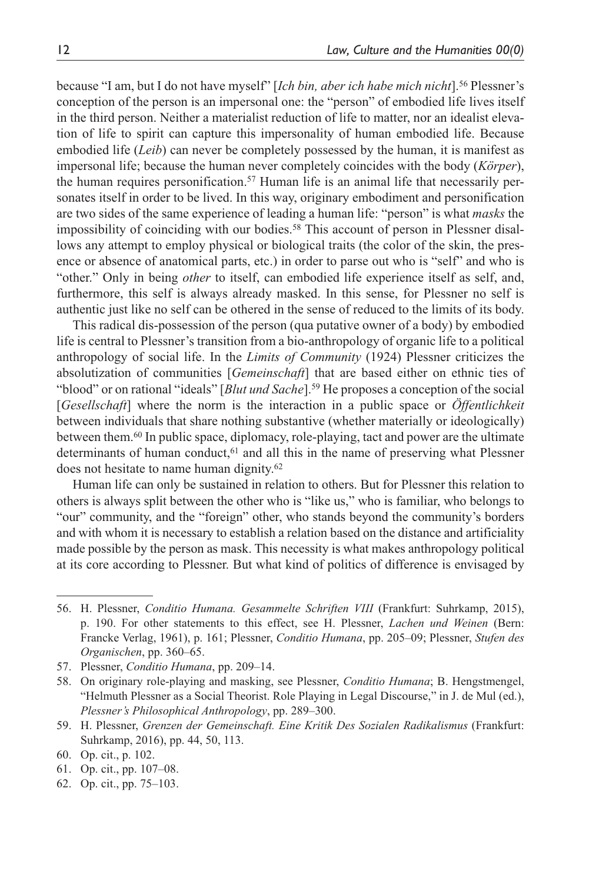because "I am, but I do not have myself" [*Ich bin, aber ich habe mich nicht*].56 Plessner's conception of the person is an impersonal one: the "person" of embodied life lives itself in the third person. Neither a materialist reduction of life to matter, nor an idealist elevation of life to spirit can capture this impersonality of human embodied life. Because embodied life (*Leib*) can never be completely possessed by the human, it is manifest as impersonal life; because the human never completely coincides with the body (*Körper*), the human requires personification.57 Human life is an animal life that necessarily personates itself in order to be lived. In this way, originary embodiment and personification are two sides of the same experience of leading a human life: "person" is what *masks* the impossibility of coinciding with our bodies.58 This account of person in Plessner disallows any attempt to employ physical or biological traits (the color of the skin, the presence or absence of anatomical parts, etc.) in order to parse out who is "self" and who is "other." Only in being *other* to itself, can embodied life experience itself as self, and, furthermore, this self is always already masked. In this sense, for Plessner no self is authentic just like no self can be othered in the sense of reduced to the limits of its body.

This radical dis-possession of the person (qua putative owner of a body) by embodied life is central to Plessner's transition from a bio-anthropology of organic life to a political anthropology of social life. In the *Limits of Community* (1924) Plessner criticizes the absolutization of communities [*Gemeinschaft*] that are based either on ethnic ties of "blood" or on rational "ideals" [*Blut und Sache*].59 He proposes a conception of the social [*Gesellschaft*] where the norm is the interaction in a public space or *Öffentlichkeit* between individuals that share nothing substantive (whether materially or ideologically) between them.60 In public space, diplomacy, role-playing, tact and power are the ultimate determinants of human conduct,<sup>61</sup> and all this in the name of preserving what Plessner does not hesitate to name human dignity.62

Human life can only be sustained in relation to others. But for Plessner this relation to others is always split between the other who is "like us," who is familiar, who belongs to "our" community, and the "foreign" other, who stands beyond the community's borders and with whom it is necessary to establish a relation based on the distance and artificiality made possible by the person as mask. This necessity is what makes anthropology political at its core according to Plessner. But what kind of politics of difference is envisaged by

<sup>56.</sup> H. Plessner, *Conditio Humana. Gesammelte Schriften VIII* (Frankfurt: Suhrkamp, 2015), p. 190. For other statements to this effect, see H. Plessner, *Lachen und Weinen* (Bern: Francke Verlag, 1961), p. 161; Plessner, *Conditio Humana*, pp. 205–09; Plessner, *Stufen des Organischen*, pp. 360–65.

<sup>57.</sup> Plessner, *Conditio Humana*, pp. 209–14.

<sup>58.</sup> On originary role-playing and masking, see Plessner, *Conditio Humana*; B. Hengstmengel, "Helmuth Plessner as a Social Theorist. Role Playing in Legal Discourse," in J. de Mul (ed.), *Plessner's Philosophical Anthropology*, pp. 289–300.

<sup>59.</sup> H. Plessner, *Grenzen der Gemeinschaft. Eine Kritik Des Sozialen Radikalismus* (Frankfurt: Suhrkamp, 2016), pp. 44, 50, 113.

<sup>60.</sup> Op. cit., p. 102.

<sup>61.</sup> Op. cit., pp. 107–08.

<sup>62.</sup> Op. cit., pp. 75–103.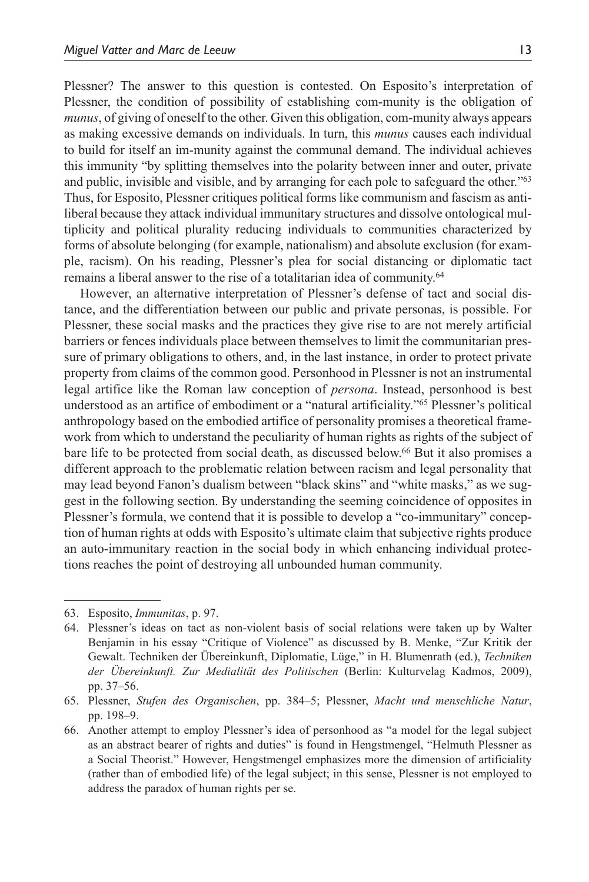Plessner? The answer to this question is contested. On Esposito's interpretation of Plessner, the condition of possibility of establishing com-munity is the obligation of *munus*, of giving of oneself to the other. Given this obligation, com-munity always appears as making excessive demands on individuals. In turn, this *munus* causes each individual to build for itself an im-munity against the communal demand. The individual achieves this immunity "by splitting themselves into the polarity between inner and outer, private and public, invisible and visible, and by arranging for each pole to safeguard the other."<sup>63</sup> Thus, for Esposito, Plessner critiques political forms like communism and fascism as antiliberal because they attack individual immunitary structures and dissolve ontological multiplicity and political plurality reducing individuals to communities characterized by forms of absolute belonging (for example, nationalism) and absolute exclusion (for example, racism). On his reading, Plessner's plea for social distancing or diplomatic tact remains a liberal answer to the rise of a totalitarian idea of community.64

However, an alternative interpretation of Plessner's defense of tact and social distance, and the differentiation between our public and private personas, is possible. For Plessner, these social masks and the practices they give rise to are not merely artificial barriers or fences individuals place between themselves to limit the communitarian pressure of primary obligations to others, and, in the last instance, in order to protect private property from claims of the common good. Personhood in Plessner is not an instrumental legal artifice like the Roman law conception of *persona*. Instead, personhood is best understood as an artifice of embodiment or a "natural artificiality."65 Plessner's political anthropology based on the embodied artifice of personality promises a theoretical framework from which to understand the peculiarity of human rights as rights of the subject of bare life to be protected from social death, as discussed below.66 But it also promises a different approach to the problematic relation between racism and legal personality that may lead beyond Fanon's dualism between "black skins" and "white masks," as we suggest in the following section. By understanding the seeming coincidence of opposites in Plessner's formula, we contend that it is possible to develop a "co-immunitary" conception of human rights at odds with Esposito's ultimate claim that subjective rights produce an auto-immunitary reaction in the social body in which enhancing individual protections reaches the point of destroying all unbounded human community.

<sup>63.</sup> Esposito, *Immunitas*, p. 97.

<sup>64.</sup> Plessner's ideas on tact as non-violent basis of social relations were taken up by Walter Benjamin in his essay "Critique of Violence" as discussed by B. Menke, "Zur Kritik der Gewalt. Techniken der Übereinkunft, Diplomatie, Lüge," in H. Blumenrath (ed.), *Techniken der Übereinkunft. Zur Medialität des Politischen* (Berlin: Kulturvelag Kadmos, 2009), pp. 37–56.

<sup>65.</sup> Plessner, *Stufen des Organischen*, pp. 384–5; Plessner, *Macht und menschliche Natur*, pp. 198–9.

<sup>66.</sup> Another attempt to employ Plessner's idea of personhood as "a model for the legal subject as an abstract bearer of rights and duties" is found in Hengstmengel, "Helmuth Plessner as a Social Theorist." However, Hengstmengel emphasizes more the dimension of artificiality (rather than of embodied life) of the legal subject; in this sense, Plessner is not employed to address the paradox of human rights per se.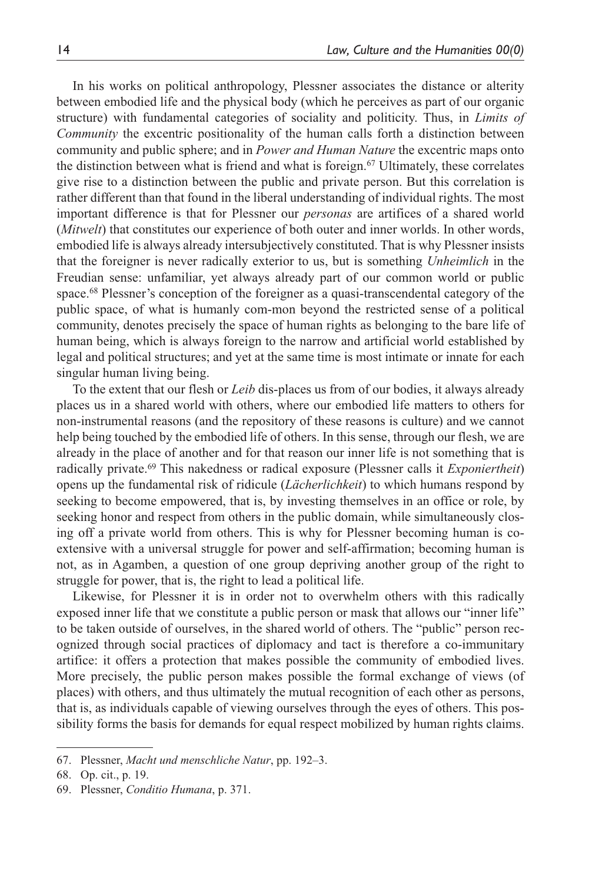In his works on political anthropology, Plessner associates the distance or alterity between embodied life and the physical body (which he perceives as part of our organic structure) with fundamental categories of sociality and politicity. Thus, in *Limits of Community* the excentric positionality of the human calls forth a distinction between community and public sphere; and in *Power and Human Nature* the excentric maps onto the distinction between what is friend and what is foreign.<sup>67</sup> Ultimately, these correlates give rise to a distinction between the public and private person. But this correlation is rather different than that found in the liberal understanding of individual rights. The most important difference is that for Plessner our *personas* are artifices of a shared world (*Mitwelt*) that constitutes our experience of both outer and inner worlds. In other words, embodied life is always already intersubjectively constituted. That is why Plessner insists that the foreigner is never radically exterior to us, but is something *Unheimlich* in the Freudian sense: unfamiliar, yet always already part of our common world or public space.68 Plessner's conception of the foreigner as a quasi-transcendental category of the public space, of what is humanly com-mon beyond the restricted sense of a political community, denotes precisely the space of human rights as belonging to the bare life of human being, which is always foreign to the narrow and artificial world established by legal and political structures; and yet at the same time is most intimate or innate for each singular human living being.

To the extent that our flesh or *Leib* dis-places us from of our bodies, it always already places us in a shared world with others, where our embodied life matters to others for non-instrumental reasons (and the repository of these reasons is culture) and we cannot help being touched by the embodied life of others. In this sense, through our flesh, we are already in the place of another and for that reason our inner life is not something that is radically private.69 This nakedness or radical exposure (Plessner calls it *Exponiertheit*) opens up the fundamental risk of ridicule (*Lächerlichkeit*) to which humans respond by seeking to become empowered, that is, by investing themselves in an office or role, by seeking honor and respect from others in the public domain, while simultaneously closing off a private world from others. This is why for Plessner becoming human is coextensive with a universal struggle for power and self-affirmation; becoming human is not, as in Agamben, a question of one group depriving another group of the right to struggle for power, that is, the right to lead a political life.

Likewise, for Plessner it is in order not to overwhelm others with this radically exposed inner life that we constitute a public person or mask that allows our "inner life" to be taken outside of ourselves, in the shared world of others. The "public" person recognized through social practices of diplomacy and tact is therefore a co-immunitary artifice: it offers a protection that makes possible the community of embodied lives. More precisely, the public person makes possible the formal exchange of views (of places) with others, and thus ultimately the mutual recognition of each other as persons, that is, as individuals capable of viewing ourselves through the eyes of others. This possibility forms the basis for demands for equal respect mobilized by human rights claims.

<sup>67.</sup> Plessner, *Macht und menschliche Natur*, pp. 192–3.

<sup>68.</sup> Op. cit., p. 19.

<sup>69.</sup> Plessner, *Conditio Humana*, p. 371.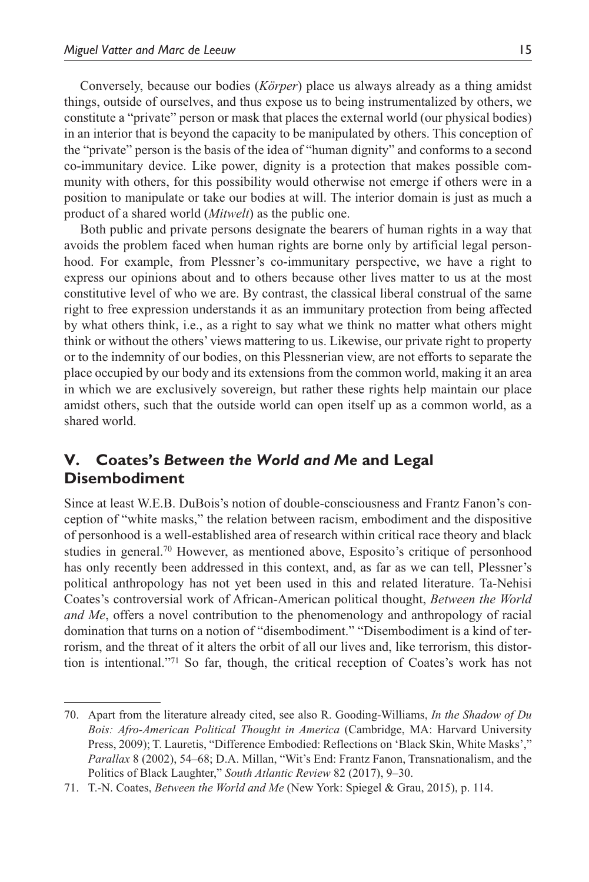Conversely, because our bodies (*Körper*) place us always already as a thing amidst things, outside of ourselves, and thus expose us to being instrumentalized by others, we constitute a "private" person or mask that places the external world (our physical bodies) in an interior that is beyond the capacity to be manipulated by others. This conception of the "private" person is the basis of the idea of "human dignity" and conforms to a second co-immunitary device. Like power, dignity is a protection that makes possible community with others, for this possibility would otherwise not emerge if others were in a position to manipulate or take our bodies at will. The interior domain is just as much a product of a shared world (*Mitwelt*) as the public one.

Both public and private persons designate the bearers of human rights in a way that avoids the problem faced when human rights are borne only by artificial legal personhood. For example, from Plessner's co-immunitary perspective, we have a right to express our opinions about and to others because other lives matter to us at the most constitutive level of who we are. By contrast, the classical liberal construal of the same right to free expression understands it as an immunitary protection from being affected by what others think, i.e., as a right to say what we think no matter what others might think or without the others' views mattering to us. Likewise, our private right to property or to the indemnity of our bodies, on this Plessnerian view, are not efforts to separate the place occupied by our body and its extensions from the common world, making it an area in which we are exclusively sovereign, but rather these rights help maintain our place amidst others, such that the outside world can open itself up as a common world, as a shared world.

# **V. Coates's** *Between the World and Me* **and Legal Disembodiment**

Since at least W.E.B. DuBois's notion of double-consciousness and Frantz Fanon's conception of "white masks," the relation between racism, embodiment and the dispositive of personhood is a well-established area of research within critical race theory and black studies in general.70 However, as mentioned above, Esposito's critique of personhood has only recently been addressed in this context, and, as far as we can tell, Plessner's political anthropology has not yet been used in this and related literature. Ta-Nehisi Coates's controversial work of African-American political thought, *Between the World and Me*, offers a novel contribution to the phenomenology and anthropology of racial domination that turns on a notion of "disembodiment." "Disembodiment is a kind of terrorism, and the threat of it alters the orbit of all our lives and, like terrorism, this distortion is intentional."71 So far, though, the critical reception of Coates's work has not

<sup>70.</sup> Apart from the literature already cited, see also R. Gooding-Williams, *In the Shadow of Du Bois: Afro-American Political Thought in America* (Cambridge, MA: Harvard University Press, 2009); T. Lauretis, "Difference Embodied: Reflections on 'Black Skin, White Masks'," *Parallax* 8 (2002), 54–68; D.A. Millan, "Wit's End: Frantz Fanon, Transnationalism, and the Politics of Black Laughter," *South Atlantic Review* 82 (2017), 9–30.

<sup>71.</sup> T.-N. Coates, *Between the World and Me* (New York: Spiegel & Grau, 2015), p. 114.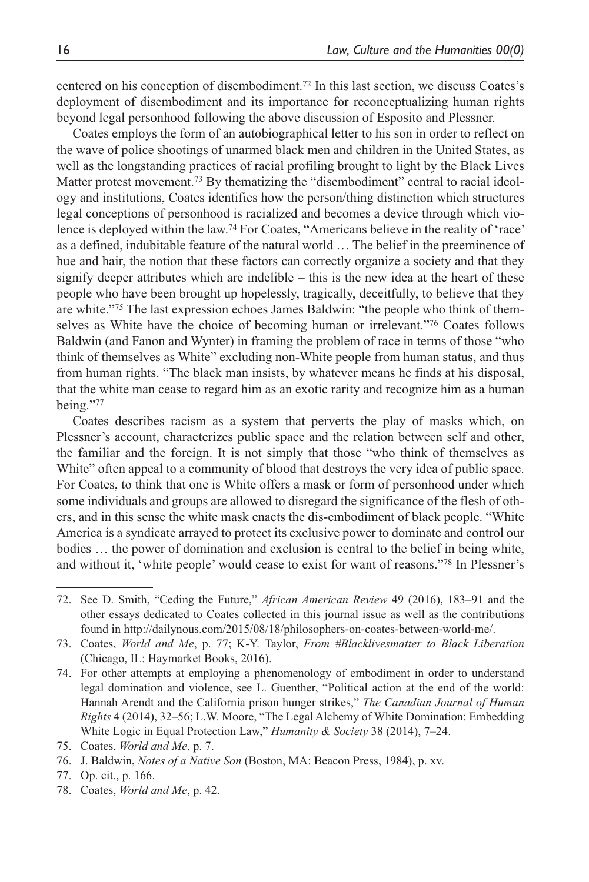centered on his conception of disembodiment.72 In this last section, we discuss Coates's deployment of disembodiment and its importance for reconceptualizing human rights beyond legal personhood following the above discussion of Esposito and Plessner.

Coates employs the form of an autobiographical letter to his son in order to reflect on the wave of police shootings of unarmed black men and children in the United States, as well as the longstanding practices of racial profiling brought to light by the Black Lives Matter protest movement.<sup>73</sup> By thematizing the "disembodiment" central to racial ideology and institutions, Coates identifies how the person/thing distinction which structures legal conceptions of personhood is racialized and becomes a device through which violence is deployed within the law.74 For Coates, "Americans believe in the reality of 'race' as a defined, indubitable feature of the natural world … The belief in the preeminence of hue and hair, the notion that these factors can correctly organize a society and that they signify deeper attributes which are indelible – this is the new idea at the heart of these people who have been brought up hopelessly, tragically, deceitfully, to believe that they are white."75 The last expression echoes James Baldwin: "the people who think of themselves as White have the choice of becoming human or irrelevant."76 Coates follows Baldwin (and Fanon and Wynter) in framing the problem of race in terms of those "who think of themselves as White" excluding non-White people from human status, and thus from human rights. "The black man insists, by whatever means he finds at his disposal, that the white man cease to regard him as an exotic rarity and recognize him as a human being."77

Coates describes racism as a system that perverts the play of masks which, on Plessner's account, characterizes public space and the relation between self and other, the familiar and the foreign. It is not simply that those "who think of themselves as White" often appeal to a community of blood that destroys the very idea of public space. For Coates, to think that one is White offers a mask or form of personhood under which some individuals and groups are allowed to disregard the significance of the flesh of others, and in this sense the white mask enacts the dis-embodiment of black people. "White America is a syndicate arrayed to protect its exclusive power to dominate and control our bodies … the power of domination and exclusion is central to the belief in being white, and without it, 'white people' would cease to exist for want of reasons."78 In Plessner's

74. For other attempts at employing a phenomenology of embodiment in order to understand legal domination and violence, see L. Guenther, "Political action at the end of the world: Hannah Arendt and the California prison hunger strikes," *The Canadian Journal of Human Rights* 4 (2014), 32–56; L.W. Moore, "The Legal Alchemy of White Domination: Embedding White Logic in Equal Protection Law," *Humanity & Society* 38 (2014), 7–24.

78. Coates, *World and Me*, p. 42.

<sup>72.</sup> See D. Smith, "Ceding the Future," *African American Review* 49 (2016), 183–91 and the other essays dedicated to Coates collected in this journal issue as well as the contributions found in<http://dailynous.com/2015/08/18/philosophers-on-coates-between-world-me/>.

<sup>73.</sup> Coates, *World and Me*, p. 77; K-Y. Taylor, *From #Blacklivesmatter to Black Liberation* (Chicago, IL: Haymarket Books, 2016).

<sup>75.</sup> Coates, *World and Me*, p. 7.

<sup>76.</sup> J. Baldwin, *Notes of a Native Son* (Boston, MA: Beacon Press, 1984), p. xv.

<sup>77.</sup> Op. cit., p. 166.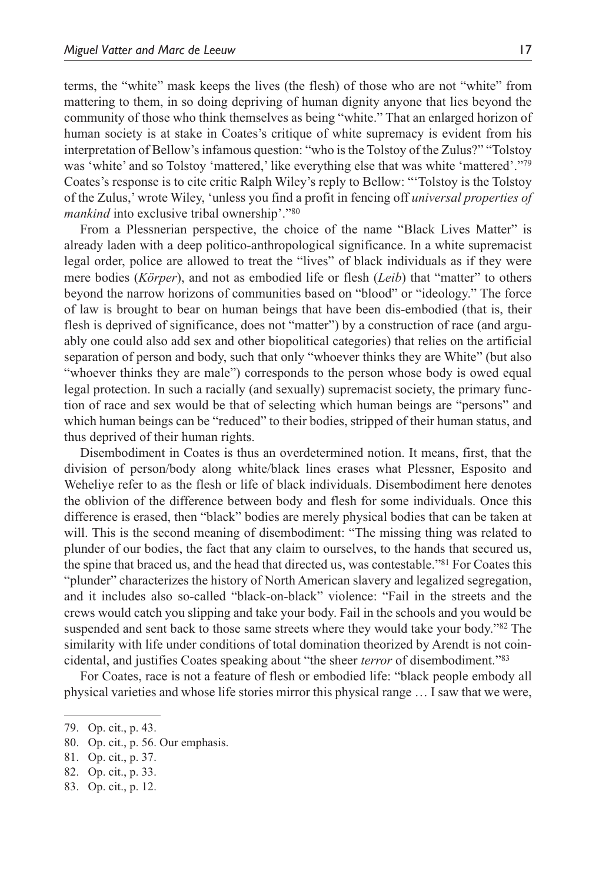terms, the "white" mask keeps the lives (the flesh) of those who are not "white" from mattering to them, in so doing depriving of human dignity anyone that lies beyond the community of those who think themselves as being "white." That an enlarged horizon of human society is at stake in Coates's critique of white supremacy is evident from his interpretation of Bellow's infamous question: "who is the Tolstoy of the Zulus?" "Tolstoy was 'white' and so Tolstoy 'mattered,' like everything else that was white 'mattered'."79 Coates's response is to cite critic Ralph Wiley's reply to Bellow: "'Tolstoy is the Tolstoy of the Zulus,' wrote Wiley, 'unless you find a profit in fencing off *universal properties of mankind* into exclusive tribal ownership'."80

From a Plessnerian perspective, the choice of the name "Black Lives Matter" is already laden with a deep politico-anthropological significance. In a white supremacist legal order, police are allowed to treat the "lives" of black individuals as if they were mere bodies (*Körper*), and not as embodied life or flesh (*Leib*) that "matter" to others beyond the narrow horizons of communities based on "blood" or "ideology." The force of law is brought to bear on human beings that have been dis-embodied (that is, their flesh is deprived of significance, does not "matter") by a construction of race (and arguably one could also add sex and other biopolitical categories) that relies on the artificial separation of person and body, such that only "whoever thinks they are White" (but also "whoever thinks they are male") corresponds to the person whose body is owed equal legal protection. In such a racially (and sexually) supremacist society, the primary function of race and sex would be that of selecting which human beings are "persons" and which human beings can be "reduced" to their bodies, stripped of their human status, and thus deprived of their human rights.

Disembodiment in Coates is thus an overdetermined notion. It means, first, that the division of person/body along white/black lines erases what Plessner, Esposito and Weheliye refer to as the flesh or life of black individuals. Disembodiment here denotes the oblivion of the difference between body and flesh for some individuals. Once this difference is erased, then "black" bodies are merely physical bodies that can be taken at will. This is the second meaning of disembodiment: "The missing thing was related to plunder of our bodies, the fact that any claim to ourselves, to the hands that secured us, the spine that braced us, and the head that directed us, was contestable."81 For Coates this "plunder" characterizes the history of North American slavery and legalized segregation, and it includes also so-called "black-on-black" violence: "Fail in the streets and the crews would catch you slipping and take your body. Fail in the schools and you would be suspended and sent back to those same streets where they would take your body."82 The similarity with life under conditions of total domination theorized by Arendt is not coincidental, and justifies Coates speaking about "the sheer *terror* of disembodiment."83

For Coates, race is not a feature of flesh or embodied life: "black people embody all physical varieties and whose life stories mirror this physical range … I saw that we were,

83. Op. cit., p. 12.

<sup>79.</sup> Op. cit., p. 43.

<sup>80.</sup> Op. cit., p. 56. Our emphasis.

<sup>81.</sup> Op. cit., p. 37.

<sup>82.</sup> Op. cit., p. 33.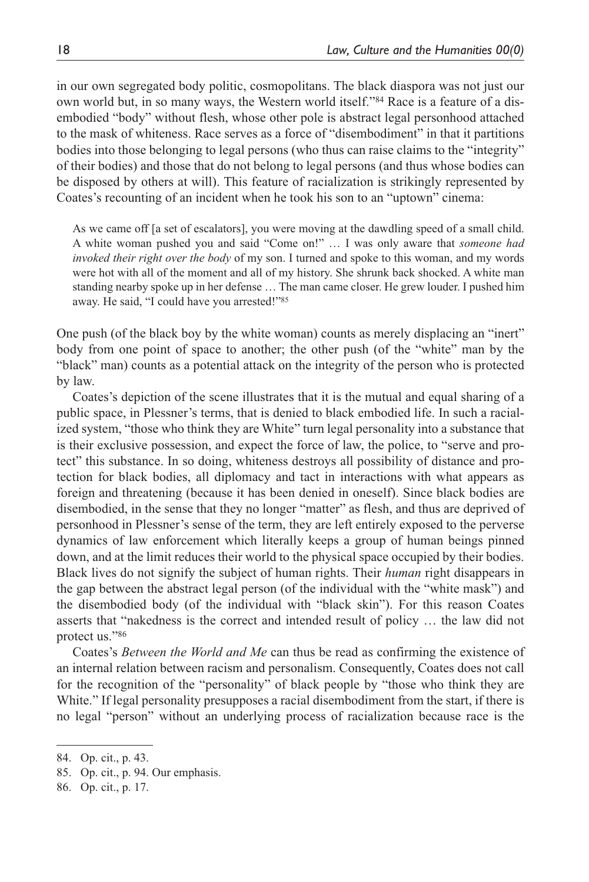in our own segregated body politic, cosmopolitans. The black diaspora was not just our own world but, in so many ways, the Western world itself."84 Race is a feature of a disembodied "body" without flesh, whose other pole is abstract legal personhood attached to the mask of whiteness. Race serves as a force of "disembodiment" in that it partitions bodies into those belonging to legal persons (who thus can raise claims to the "integrity" of their bodies) and those that do not belong to legal persons (and thus whose bodies can be disposed by others at will). This feature of racialization is strikingly represented by Coates's recounting of an incident when he took his son to an "uptown" cinema:

As we came off [a set of escalators], you were moving at the dawdling speed of a small child. A white woman pushed you and said "Come on!" … I was only aware that *someone had invoked their right over the body* of my son. I turned and spoke to this woman, and my words were hot with all of the moment and all of my history. She shrunk back shocked. A white man standing nearby spoke up in her defense … The man came closer. He grew louder. I pushed him away. He said, "I could have you arrested!"85

One push (of the black boy by the white woman) counts as merely displacing an "inert" body from one point of space to another; the other push (of the "white" man by the "black" man) counts as a potential attack on the integrity of the person who is protected by law.

Coates's depiction of the scene illustrates that it is the mutual and equal sharing of a public space, in Plessner's terms, that is denied to black embodied life. In such a racialized system, "those who think they are White" turn legal personality into a substance that is their exclusive possession, and expect the force of law, the police, to "serve and protect" this substance. In so doing, whiteness destroys all possibility of distance and protection for black bodies, all diplomacy and tact in interactions with what appears as foreign and threatening (because it has been denied in oneself). Since black bodies are disembodied, in the sense that they no longer "matter" as flesh, and thus are deprived of personhood in Plessner's sense of the term, they are left entirely exposed to the perverse dynamics of law enforcement which literally keeps a group of human beings pinned down, and at the limit reduces their world to the physical space occupied by their bodies. Black lives do not signify the subject of human rights. Their *human* right disappears in the gap between the abstract legal person (of the individual with the "white mask") and the disembodied body (of the individual with "black skin"). For this reason Coates asserts that "nakedness is the correct and intended result of policy … the law did not protect us."86

Coates's *Between the World and Me* can thus be read as confirming the existence of an internal relation between racism and personalism. Consequently, Coates does not call for the recognition of the "personality" of black people by "those who think they are White." If legal personality presupposes a racial disembodiment from the start, if there is no legal "person" without an underlying process of racialization because race is the

<sup>84.</sup> Op. cit., p. 43.

<sup>85.</sup> Op. cit., p. 94. Our emphasis.

<sup>86.</sup> Op. cit., p. 17.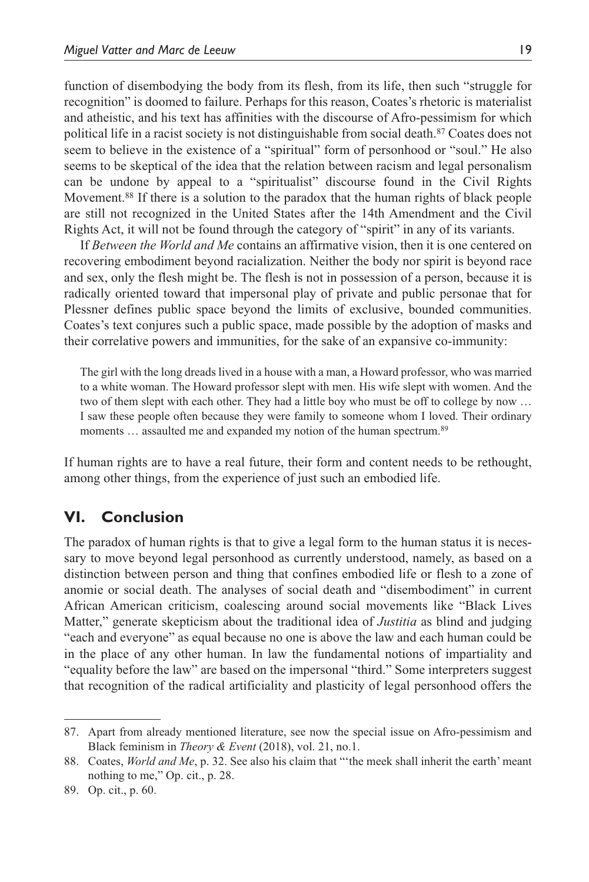function of disembodying the body from its flesh, from its life, then such "struggle for recognition" is doomed to failure. Perhaps for this reason, Coates's rhetoric is materialist and atheistic, and his text has affinities with the discourse of Afro-pessimism for which political life in a racist society is not distinguishable from social death.87 Coates does not seem to believe in the existence of a "spiritual" form of personhood or "soul." He also seems to be skeptical of the idea that the relation between racism and legal personalism can be undone by appeal to a "spiritualist" discourse found in the Civil Rights Movement.88 If there is a solution to the paradox that the human rights of black people are still not recognized in the United States after the 14th Amendment and the Civil Rights Act, it will not be found through the category of "spirit" in any of its variants.

If *Between the World and Me* contains an affirmative vision, then it is one centered on recovering embodiment beyond racialization. Neither the body nor spirit is beyond race and sex, only the flesh might be. The flesh is not in possession of a person, because it is radically oriented toward that impersonal play of private and public personae that for Plessner defines public space beyond the limits of exclusive, bounded communities. Coates's text conjures such a public space, made possible by the adoption of masks and their correlative powers and immunities, for the sake of an expansive co-immunity:

The girl with the long dreads lived in a house with a man, a Howard professor, who was married to a white woman. The Howard professor slept with men. His wife slept with women. And the two of them slept with each other. They had a little boy who must be off to college by now … I saw these people often because they were family to someone whom I loved. Their ordinary moments ... assaulted me and expanded my notion of the human spectrum.<sup>89</sup>

If human rights are to have a real future, their form and content needs to be rethought, among other things, from the experience of just such an embodied life.

# **VI. Conclusion**

The paradox of human rights is that to give a legal form to the human status it is necessary to move beyond legal personhood as currently understood, namely, as based on a distinction between person and thing that confines embodied life or flesh to a zone of anomie or social death. The analyses of social death and "disembodiment" in current African American criticism, coalescing around social movements like "Black Lives Matter," generate skepticism about the traditional idea of *Justitia* as blind and judging "each and everyone" as equal because no one is above the law and each human could be in the place of any other human. In law the fundamental notions of impartiality and "equality before the law" are based on the impersonal "third." Some interpreters suggest that recognition of the radical artificiality and plasticity of legal personhood offers the

<sup>87.</sup> Apart from already mentioned literature, see now the special issue on Afro-pessimism and Black feminism in *Theory & Event* (2018), vol. 21, no.1.

<sup>88.</sup> Coates, *World and Me*, p. 32. See also his claim that "'the meek shall inherit the earth' meant nothing to me," Op. cit., p. 28.

<sup>89.</sup> Op. cit., p. 60.